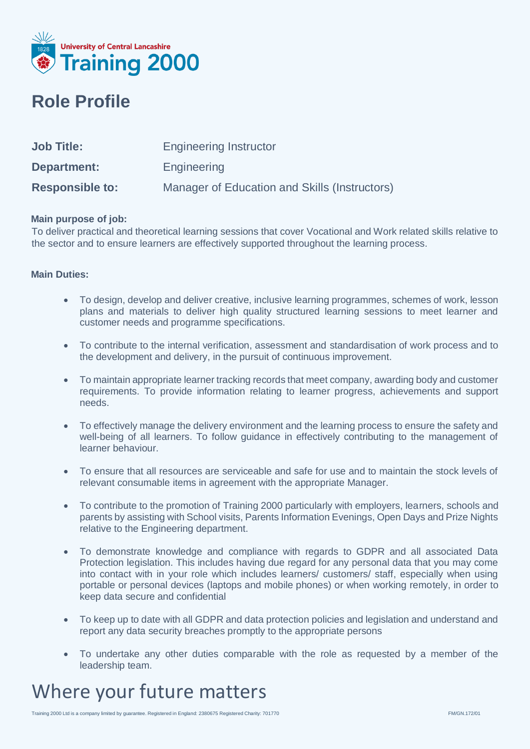

### **Role Profile**

| <b>Job Title:</b>      | <b>Engineering Instructor</b>                 |
|------------------------|-----------------------------------------------|
| Department:            | Engineering                                   |
| <b>Responsible to:</b> | Manager of Education and Skills (Instructors) |

### **Main purpose of job:**

To deliver practical and theoretical learning sessions that cover Vocational and Work related skills relative to the sector and to ensure learners are effectively supported throughout the learning process.

### **Main Duties:**

- To design, develop and deliver creative, inclusive learning programmes, schemes of work, lesson plans and materials to deliver high quality structured learning sessions to meet learner and customer needs and programme specifications.
- To contribute to the internal verification, assessment and standardisation of work process and to the development and delivery, in the pursuit of continuous improvement.
- To maintain appropriate learner tracking records that meet company, awarding body and customer requirements. To provide information relating to learner progress, achievements and support needs.
- To effectively manage the delivery environment and the learning process to ensure the safety and well-being of all learners. To follow guidance in effectively contributing to the management of learner behaviour.
- To ensure that all resources are serviceable and safe for use and to maintain the stock levels of relevant consumable items in agreement with the appropriate Manager.
- To contribute to the promotion of Training 2000 particularly with employers, learners, schools and parents by assisting with School visits, Parents Information Evenings, Open Days and Prize Nights relative to the Engineering department.
- To demonstrate knowledge and compliance with regards to GDPR and all associated Data Protection legislation. This includes having due regard for any personal data that you may come into contact with in your role which includes learners/ customers/ staff, especially when using portable or personal devices (laptops and mobile phones) or when working remotely, in order to keep data secure and confidential
- To keep up to date with all GDPR and data protection policies and legislation and understand and report any data security breaches promptly to the appropriate persons
- To undertake any other duties comparable with the role as requested by a member of the leadership team.

## Where your future matters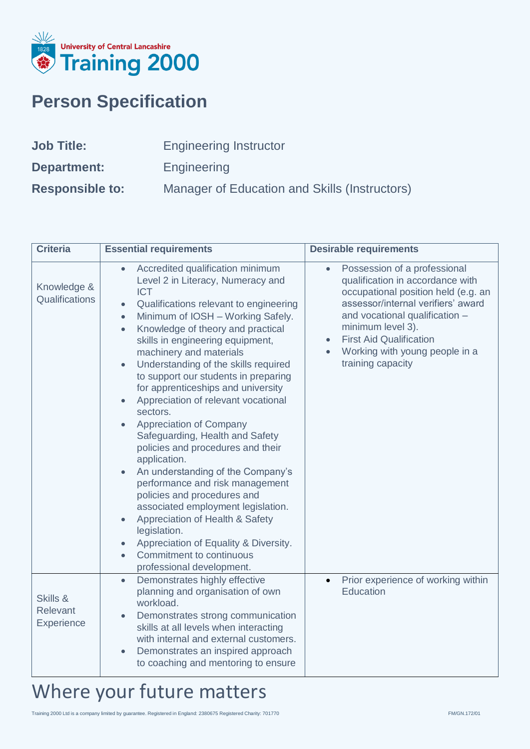

## **Person Specification**

| <b>Job Title:</b>      | <b>Engineering Instructor</b>                 |
|------------------------|-----------------------------------------------|
| Department:            | Engineering                                   |
| <b>Responsible to:</b> | Manager of Education and Skills (Instructors) |

| <b>Criteria</b>                    | <b>Essential requirements</b>                                                                                                                                                                                                                                                                                                                                                                                                                                                                                                                                                                                                                                                                                                                                                                                                                                                                                                                                                                                       | <b>Desirable requirements</b>                                                                                                                                                                                                                                                                                           |
|------------------------------------|---------------------------------------------------------------------------------------------------------------------------------------------------------------------------------------------------------------------------------------------------------------------------------------------------------------------------------------------------------------------------------------------------------------------------------------------------------------------------------------------------------------------------------------------------------------------------------------------------------------------------------------------------------------------------------------------------------------------------------------------------------------------------------------------------------------------------------------------------------------------------------------------------------------------------------------------------------------------------------------------------------------------|-------------------------------------------------------------------------------------------------------------------------------------------------------------------------------------------------------------------------------------------------------------------------------------------------------------------------|
| Knowledge &<br>Qualifications      | Accredited qualification minimum<br>$\bullet$<br>Level 2 in Literacy, Numeracy and<br><b>ICT</b><br>Qualifications relevant to engineering<br>$\bullet$<br>Minimum of IOSH - Working Safely.<br>$\bullet$<br>Knowledge of theory and practical<br>$\bullet$<br>skills in engineering equipment,<br>machinery and materials<br>Understanding of the skills required<br>$\bullet$<br>to support our students in preparing<br>for apprenticeships and university<br>Appreciation of relevant vocational<br>$\bullet$<br>sectors.<br>Appreciation of Company<br>$\bullet$<br>Safeguarding, Health and Safety<br>policies and procedures and their<br>application.<br>An understanding of the Company's<br>$\bullet$<br>performance and risk management<br>policies and procedures and<br>associated employment legislation.<br>Appreciation of Health & Safety<br>$\bullet$<br>legislation.<br>Appreciation of Equality & Diversity.<br>$\bullet$<br>Commitment to continuous<br>$\bullet$<br>professional development. | Possession of a professional<br>$\bullet$<br>qualification in accordance with<br>occupational position held (e.g. an<br>assessor/internal verifiers' award<br>and vocational qualification -<br>minimum level 3).<br><b>First Aid Qualification</b><br>$\bullet$<br>Working with young people in a<br>training capacity |
| Skills &<br>Relevant<br>Experience | Demonstrates highly effective<br>$\bullet$<br>planning and organisation of own<br>workload.<br>Demonstrates strong communication<br>$\bullet$<br>skills at all levels when interacting<br>with internal and external customers.<br>Demonstrates an inspired approach<br>$\bullet$<br>to coaching and mentoring to ensure                                                                                                                                                                                                                                                                                                                                                                                                                                                                                                                                                                                                                                                                                            | Prior experience of working within<br>$\bullet$<br>Education                                                                                                                                                                                                                                                            |

# Where your future matters